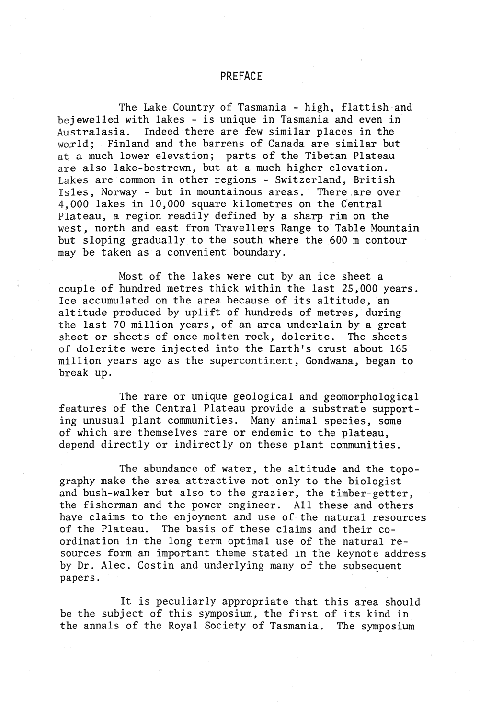## PREFACE

The Lake Country of Tasmania - high, flattish and bejewelled with lakes - is unique in Tasmania and even in<br>Australasia. Indeed there are few similar places in the Indeed there are few similar places in the world; Finland and the barrens of Canada are similar but at a much lower elevation; parts of the Tibetan Plateau are also lake-bestrewn, but at a much higher elevation. Lakes are common in other regions - Switzerland, British<br>Isles. Norway - but in mountainous areas. There are over Isles, Norway - but in mountainous areas. 4,000 lakes in 10,000 square kilometres on the Central Plateau, a region readily defined by a sharp rim on the west, north and east from Travellers Range to Table Mountain but sloping gradually to the south where the 600 m contour may be taken as a convenient boundary.

Most of the lakes were cut by an ice sheet a couple of hundred metres thick within the last 25,000 years. Ice accumulated on the area because of its altitude, an altitude produced by uplift of hundreds of metres, during the last 70 million years, of an area underlain by a great sheet or sheets of once molten rock, dolerite. The sheets of dolerite were injected into the Earth's crust about 165 million years ago as the supercontinent, Gondwana, began to break up.

The rare or unique geological and geomorphological features of the Central Plateau provide a substrate supporting unusual plant communities. Many animal species, some of which are themselves rare or endemic to the plateau, depend directly or indirectly on these plant communities.

The abundance of water, the altitude and the topography make the area attractive not only to the biologist and bush-walker but also to the grazier, the timber-getter, the fisherman and the power engineer. All these and others have claims to the enjoyment and use of the natural resources of the Plateau. The basis of these claims and their co-The basis of these claims and their coordination in the long term optimal use of the natural resources form an important theme stated in the keynote address by Dr. Alec. Costin and underlying many of the subsequent papers.

It is peculiarly appropriate that this area should be the subject of this symposium, the first of its kind in the annals of the Royal Society of Tasmania. The symposium